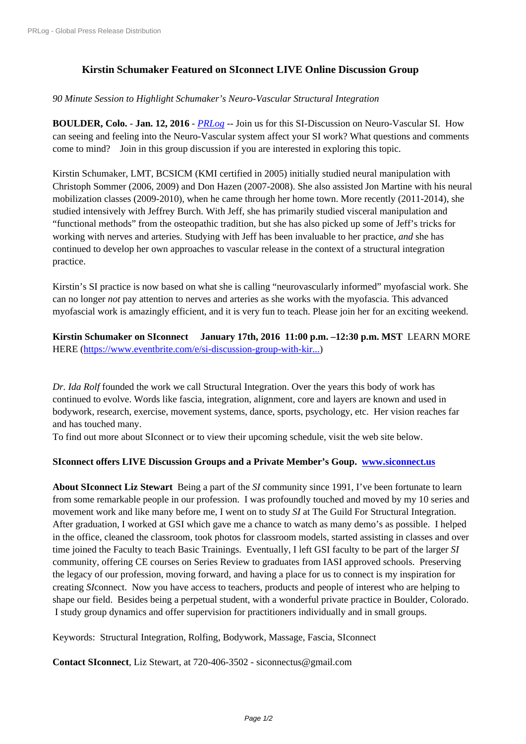## **[Kirstin Schumake](https://www.prlog.org/)r Featured on SIconnect LIVE Online Discussion Group**

## *90 Minute Session to Highlight Schumaker's Neuro-Vascular Structural Integration*

**BOULDER, Colo.** - **Jan. 12, 2016** - *PRLog* -- Join us for this SI-Discussion on Neuro-Vascular SI. How can seeing and feeling into the Neuro-Vascular system affect your SI work? What questions and comments come to mind? Join in this group discussion if you are interested in exploring this topic.

Kirstin Schumaker, LMT, BCSICM [\(KMI ce](https://www.prlog.org)rtified in 2005) initially studied neural manipulation with Christoph Sommer (2006, 2009) and Don Hazen (2007-2008). She also assisted Jon Martine with his neural mobilization classes (2009-2010), when he came through her home town. More recently (2011-2014), she studied intensively with Jeffrey Burch. With Jeff, she has primarily studied visceral manipulation and "functional methods" from the osteopathic tradition, but she has also picked up some of Jeff's tricks for working with nerves and arteries. Studying with Jeff has been invaluable to her practice, *and* she has continued to develop her own approaches to vascular release in the context of a structural integration practice.

Kirstin's SI practice is now based on what she is calling "neurovascularly informed" myofascial work. She can no longer *not* pay attention to nerves and arteries as she works with the myofascia. This advanced myofascial work is amazingly efficient, and it is very fun to teach. Please join her for an exciting weekend.

**Kirstin Schumaker on SIconnect January 17th, 2016 11:00 p.m. –12:30 p.m. MST** LEARN MORE HERE (https://www.eventbrite.com/e/si-discussion-group-with-kir...)

*Dr. Ida Rolf* founded the work we call Structural Integration. Over the years this body of work has continu[ed to evolve. Words like fascia, integration, alignment, core a](https://www.eventbrite.com/e/si-discussion-group-with-kirstin-schumaker-tickets-20115523071?ref=ebtn)nd layers are known and used in bodywork, research, exercise, movement systems, dance, sports, psychology, etc. Her vision reaches far and has touched many.

To find out more about SIconnect or to view their upcoming schedule, visit the web site below.

## **SIconnect offers LIVE Discussion Groups and a Private Member's Goup. www.siconnect.us**

**About SIconnect Liz Stewart** Being a part of the *SI* community since 1991, I've been fortunate to learn from some remarkable people in our profession. I was profoundly touched and moved by my 10 series and movement work and like many before me, I went on to study *SI* at The Guild F[or Structural Integra](http://www.siconnect.us)tion. After graduation, I worked at GSI which gave me a chance to watch as many demo's as possible. I helped in the office, cleaned the classroom, took photos for classroom models, started assisting in classes and over time joined the Faculty to teach Basic Trainings. Eventually, I left GSI faculty to be part of the larger *SI* community, offering CE courses on Series Review to graduates from IASI approved schools. Preserving the legacy of our profession, moving forward, and having a place for us to connect is my inspiration for creating *SI*connect. Now you have access to teachers, products and people of interest who are helping to shape our field. Besides being a perpetual student, with a wonderful private practice in Boulder, Colorado. I study group dynamics and offer supervision for practitioners individually and in small groups.

Keywords: Structural Integration, Rolfing, Bodywork, Massage, Fascia, SIconnect

**Contact SIconnect**, Liz Stewart, at 720-406-3502 - siconnectus@gmail.com